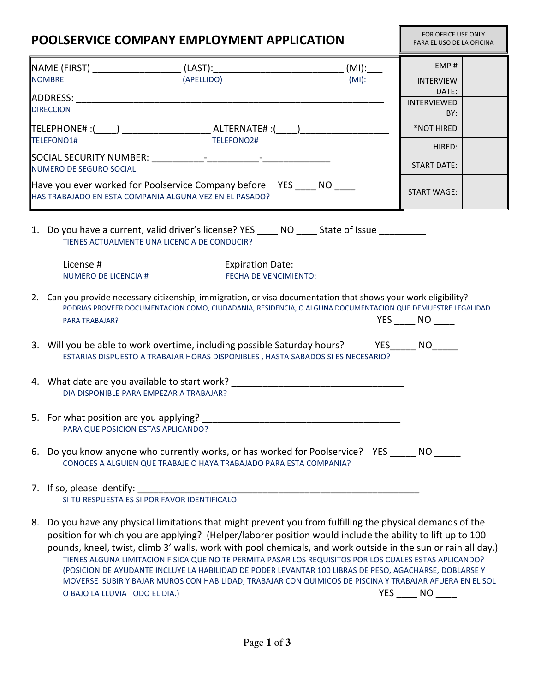| POOLSERVICE COMPANY EMPLOYMENT APPLICATION                                                                                                                         |                                                                                                                                                                                                                                                |                             | FOR OFFICE USE ONLY<br>PARA EL USO DE LA OFICINA |  |
|--------------------------------------------------------------------------------------------------------------------------------------------------------------------|------------------------------------------------------------------------------------------------------------------------------------------------------------------------------------------------------------------------------------------------|-----------------------------|--------------------------------------------------|--|
|                                                                                                                                                                    |                                                                                                                                                                                                                                                | EMP#                        |                                                  |  |
|                                                                                                                                                                    |                                                                                                                                                                                                                                                | <b>INTERVIEW</b>            |                                                  |  |
|                                                                                                                                                                    | <b>ADDRESS:</b> AND THE SERVICE SERVICE SERVICE SERVICE SERVICE SERVICE SERVICE SERVICE SERVICE SERVICE SERVICE SERVICE SERVICE SERVICE SERVICE SERVICE SERVICE SERVICE SERVICE SERVICE SERVICE SERVICE SERVICE SERVICE SERVICE SER            | DATE:<br><b>INTERVIEWED</b> |                                                  |  |
| <b>DIRECCION</b>                                                                                                                                                   |                                                                                                                                                                                                                                                |                             |                                                  |  |
|                                                                                                                                                                    | TELEFONO1#<br>TELEFONO2#                                                                                                                                                                                                                       | BY:<br>*NOT HIRED           |                                                  |  |
|                                                                                                                                                                    |                                                                                                                                                                                                                                                | HIRED:                      |                                                  |  |
|                                                                                                                                                                    | NUMERO DE SEGURO SOCIAL:                                                                                                                                                                                                                       | <b>START DATE:</b>          |                                                  |  |
|                                                                                                                                                                    | $\parallel$ Have you ever worked for Poolservice Company before YES NO<br>HAS TRABAJADO EN ESTA COMPANIA ALGUNA VEZ EN EL PASADO?                                                                                                              | <b>START WAGE:</b>          |                                                  |  |
|                                                                                                                                                                    | 1. Do you have a current, valid driver's license? YES _____ NO _____ State of Issue __________<br>TIENES ACTUALMENTE UNA LICENCIA DE CONDUCIR?                                                                                                 |                             |                                                  |  |
|                                                                                                                                                                    |                                                                                                                                                                                                                                                |                             |                                                  |  |
|                                                                                                                                                                    | <b>NUMERO DE LICENCIA #</b><br><b>FECHA DE VENCIMIENTO:</b>                                                                                                                                                                                    |                             |                                                  |  |
|                                                                                                                                                                    | 2. Can you provide necessary citizenship, immigration, or visa documentation that shows your work eligibility?<br>PODRIAS PROVEER DOCUMENTACION COMO, CIUDADANIA, RESIDENCIA, O ALGUNA DOCUMENTACION QUE DEMUESTRE LEGALIDAD<br>PARA TRABAJAR? | YES NO                      |                                                  |  |
|                                                                                                                                                                    | 3. Will you be able to work overtime, including possible Saturday hours? YES _____ NO_____<br>ESTARIAS DISPUESTO A TRABAJAR HORAS DISPONIBLES, HASTA SABADOS SI ES NECESARIO?                                                                  |                             |                                                  |  |
|                                                                                                                                                                    | 4. What date are you available to start work?<br>DIA DISPONIBLE PARA EMPEZAR A TRABAJAR?                                                                                                                                                       |                             |                                                  |  |
|                                                                                                                                                                    | 5. For what position are you applying?<br>PARA QUE POSICION ESTAS APLICANDO?                                                                                                                                                                   |                             |                                                  |  |
| 6. Do you know anyone who currently works, or has worked for Poolservice? YES _____ NO _____<br>CONOCES A ALGUIEN QUE TRABAJE O HAYA TRABAJADO PARA ESTA COMPANIA? |                                                                                                                                                                                                                                                |                             |                                                  |  |
|                                                                                                                                                                    |                                                                                                                                                                                                                                                |                             |                                                  |  |
|                                                                                                                                                                    | 8. Do you have any physical limitations that might prevent you from fulfilling the physical demands of the                                                                                                                                     |                             |                                                  |  |

position for which you are applying? (Helper/laborer position would include the ability to lift up to 100 pounds, kneel, twist, climb 3' walls, work with pool chemicals, and work outside in the sun or rain all day.) TIENES ALGUNA LIMITACION FISICA QUE NO TE PERMITA PASAR LOS REQUISITOS POR LOS CUALES ESTAS APLICANDO? (POSICION DE AYUDANTE INCLUYE LA HABILIDAD DE PODER LEVANTAR 100 LIBRAS DE PESO, AGACHARSE, DOBLARSE Y MOVERSE SUBIR Y BAJAR MUROS CON HABILIDAD, TRABAJAR CON QUIMICOS DE PISCINA Y TRABAJAR AFUERA EN EL SOL O BAJO LA LLUVIA TODO EL DIA.) YES \_\_\_\_\_ NO \_\_\_\_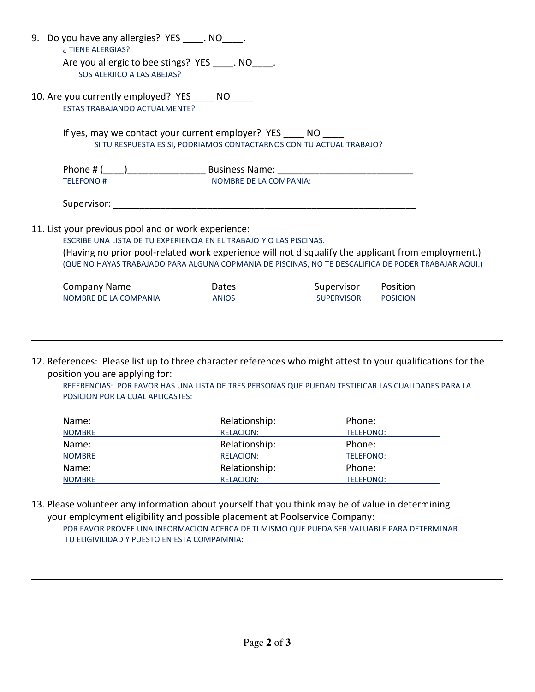|                                                                                                                                                                                                                                                                                                                                         | 9. Do you have any allergies? YES . NO .<br>¿TIENE ALERGIAS?                                                                 |                        |                   |                 |  |  |  |
|-----------------------------------------------------------------------------------------------------------------------------------------------------------------------------------------------------------------------------------------------------------------------------------------------------------------------------------------|------------------------------------------------------------------------------------------------------------------------------|------------------------|-------------------|-----------------|--|--|--|
|                                                                                                                                                                                                                                                                                                                                         | Are you allergic to bee stings? YES . NO .<br>SOS ALERJICO A LAS ABEJAS?                                                     |                        |                   |                 |  |  |  |
|                                                                                                                                                                                                                                                                                                                                         | 10. Are you currently employed? YES ____ NO ____<br><b>ESTAS TRABAJANDO ACTUALMENTE?</b>                                     |                        |                   |                 |  |  |  |
|                                                                                                                                                                                                                                                                                                                                         | If yes, may we contact your current employer? YES NO<br>SI TU RESPUESTA ES SI, PODRIAMOS CONTACTARNOS CON TU ACTUAL TRABAJO? |                        |                   |                 |  |  |  |
|                                                                                                                                                                                                                                                                                                                                         | <b>TELEFONO#</b>                                                                                                             | NOMBRE DE LA COMPANIA: |                   |                 |  |  |  |
|                                                                                                                                                                                                                                                                                                                                         | Supervisor:                                                                                                                  |                        |                   |                 |  |  |  |
| 11. List your previous pool and or work experience:<br>ESCRIBE UNA LISTA DE TU EXPERIENCIA EN EL TRABAJO Y O LAS PISCINAS.<br>(Having no prior pool-related work experience will not disqualify the applicant from employment.)<br>(QUE NO HAYAS TRABAJADO PARA ALGUNA COPMANIA DE PISCINAS, NO TE DESCALIFICA DE PODER TRABAJAR AQUI.) |                                                                                                                              |                        |                   |                 |  |  |  |
|                                                                                                                                                                                                                                                                                                                                         | <b>Company Name</b>                                                                                                          | <b>Dates</b>           | Supervisor        | Position        |  |  |  |
|                                                                                                                                                                                                                                                                                                                                         | NOMBRE DE LA COMPANIA                                                                                                        | <b>ANIOS</b>           | <b>SUPERVISOR</b> | <b>POSICION</b> |  |  |  |
|                                                                                                                                                                                                                                                                                                                                         |                                                                                                                              |                        |                   |                 |  |  |  |

12. References: Please list up to three character references who might attest to your qualifications for the position you are applying for:

REFERENCIAS: POR FAVOR HAS UNA LISTA DE TRES PERSONAS QUE PUEDAN TESTIFICAR LAS CUALIDADES PARA LA POSICION POR LA CUAL APLICASTES:

| Name:         | Relationship:    | Phone:    |
|---------------|------------------|-----------|
| <b>NOMBRE</b> | <b>RELACION:</b> | TELEFONO: |
| Name:         | Relationship:    | Phone:    |
| <b>NOMBRE</b> | <b>RELACION:</b> | TELEFONO: |
| Name:         | Relationship:    | Phone:    |
| <b>NOMBRE</b> | <b>RELACION:</b> | TELEFONO: |

13. Please volunteer any information about yourself that you think may be of value in determining your employment eligibility and possible placement at Poolservice Company: POR FAVOR PROVEE UNA INFORMACION ACERCA DE TI MISMO QUE PUEDA SER VALUABLE PARA DETERMINAR TU ELIGIVILIDAD Y PUESTO EN ESTA COMPAMNIA:

 $\overline{a}$